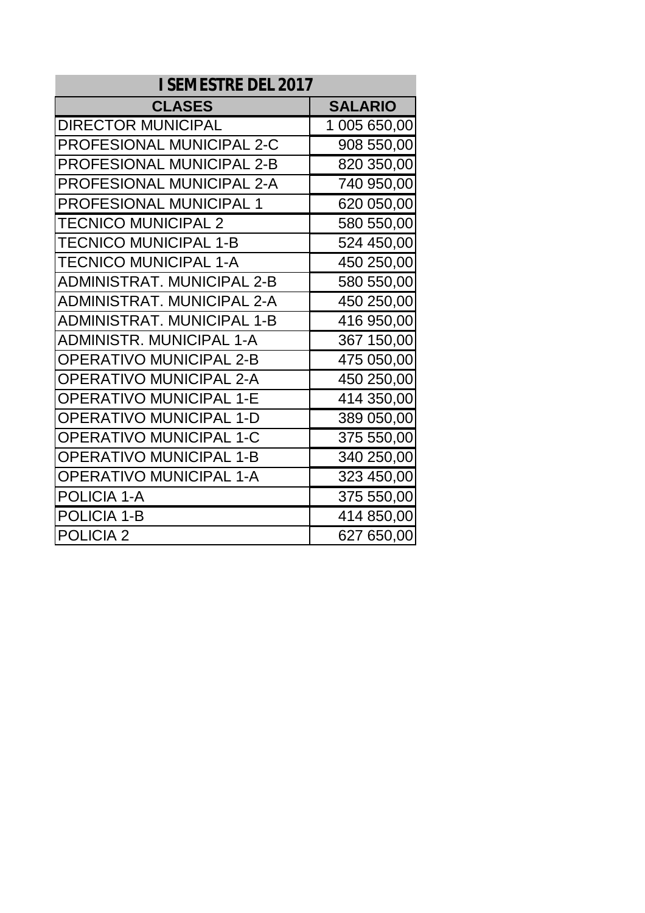| <b>I SEMESTRE DEL 2017</b>        |                |
|-----------------------------------|----------------|
| <b>CLASES</b>                     | <b>SALARIO</b> |
| <b>DIRECTOR MUNICIPAL</b>         | 1 005 650,00   |
| <b>PROFESIONAL MUNICIPAL 2-C</b>  | 908 550,00     |
| <b>PROFESIONAL MUNICIPAL 2-B</b>  | 820 350,00     |
| <b>PROFESIONAL MUNICIPAL 2-A</b>  | 740 950,00     |
| <b>PROFESIONAL MUNICIPAL 1</b>    | 620 050,00     |
| <b>TECNICO MUNICIPAL 2</b>        | 580 550,00     |
| <b>TECNICO MUNICIPAL 1-B</b>      | 524 450,00     |
| TECNICO MUNICIPAL 1-A             | 450 250,00     |
| ADMINISTRAT. MUNICIPAL 2-B        | 580 550,00     |
| <b>ADMINISTRAT. MUNICIPAL 2-A</b> | 450 250,00     |
| <b>ADMINISTRAT. MUNICIPAL 1-B</b> | 416 950,00     |
| <b>ADMINISTR. MUNICIPAL 1-A</b>   | 367 150,00     |
| <b>OPERATIVO MUNICIPAL 2-B</b>    | 475 050,00     |
| <b>OPERATIVO MUNICIPAL 2-A</b>    | 450 250,00     |
| <b>OPERATIVO MUNICIPAL 1-E</b>    | 414 350,00     |
| <b>OPERATIVO MUNICIPAL 1-D</b>    | 389 050,00     |
| <b>OPERATIVO MUNICIPAL 1-C</b>    | 375 550,00     |
| <b>OPERATIVO MUNICIPAL 1-B</b>    | 340 250,00     |
| <b>OPERATIVO MUNICIPAL 1-A</b>    | 323 450,00     |
| <b>POLICIA 1-A</b>                | 375 550,00     |
| <b>POLICIA 1-B</b>                | 414 850,00     |
| <b>POLICIA 2</b>                  | 627 650,00     |